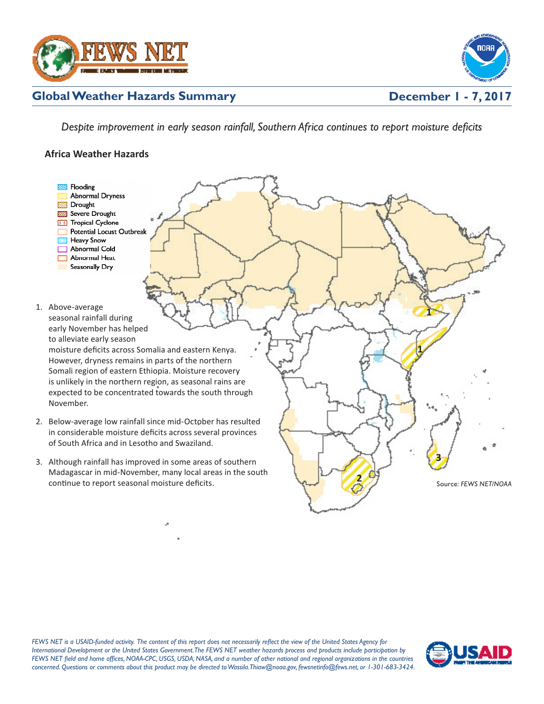



## **Global Weather Hazards Summary**

*Despite improvement in early season rainfall, Southern Africa continues to report moisture deficits* 

## **Africa Weather Hazards**



*FEWS NET is a USAID-funded activity. The content of this report does not necessarily reflect the view of the United States Agency for International Development or the United States Government. The FEWS NET weather hazards process and products include participation by FEWS NET field and home offices, NOAA-CPC, USGS, USDA, NASA, and a number of other national and regional organizations in the countries concerned. Questions or comments about this product may be directed to Wassila.Thiaw@noaa.gov, fewsnetinfo@fews.net, or 1-301-683-3424.*

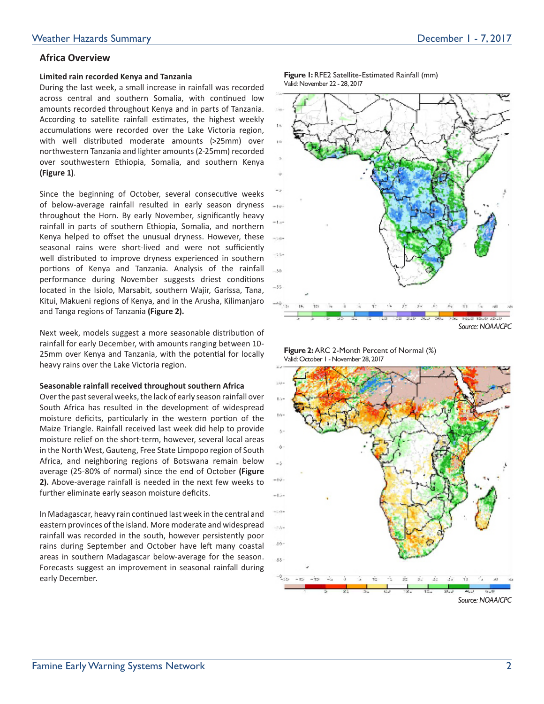## **Africa Overview**

### **Limited rain recorded Kenya and Tanzania**

During the last week, a small increase in rainfall was recorded across central and southern Somalia, with continued low amounts recorded throughout Kenya and in parts of Tanzania. According to satellite rainfall estimates, the highest weekly accumulations were recorded over the Lake Victoria region, with well distributed moderate amounts (>25mm) over northwestern Tanzania and lighter amounts (2-25mm) recorded over southwestern Ethiopia, Somalia, and southern Kenya **(Figure 1)**.

Since the beginning of October, several consecutive weeks of below-average rainfall resulted in early season dryness throughout the Horn. By early November, significantly heavy rainfall in parts of southern Ethiopia, Somalia, and northern Kenya helped to offset the unusual dryness. However, these seasonal rains were short-lived and were not sufficiently well distributed to improve dryness experienced in southern portions of Kenya and Tanzania. Analysis of the rainfall performance during November suggests driest conditions located in the Isiolo, Marsabit, southern Wajir, Garissa, Tana, Kitui, Makueni regions of Kenya, and in the Arusha, Kilimanjaro and Tanga regions of Tanzania **(Figure 2).** 

Next week, models suggest a more seasonable distribution of rainfall for early December, with amounts ranging between 10- 25mm over Kenya and Tanzania, with the potential for locally heavy rains over the Lake Victoria region.

### **Seasonable rainfall received throughout southern Africa**

Over the past several weeks, the lack of early season rainfall over South Africa has resulted in the development of widespread moisture deficits, particularly in the western portion of the Maize Triangle. Rainfall received last week did help to provide moisture relief on the short-term, however, several local areas in the North West, Gauteng, Free State Limpopo region of South Africa, and neighboring regions of Botswana remain below average (25-80% of normal) since the end of October **(Figure 2).** Above-average rainfall is needed in the next few weeks to further eliminate early season moisture deficits.

In Madagascar, heavy rain continued last week in the central and eastern provinces of the island. More moderate and widespread rainfall was recorded in the south, however persistently poor rains during September and October have left many coastal areas in southern Madagascar below-average for the season. Forecasts suggest an improvement in seasonal rainfall during early December.

**Figure 1:** RFE2 Satellite-Estimated Rainfall (mm) Valid: November 22 - 28, 2017



*Source: NOAA/CPC*

**Figure 2:** ARC 2-Month Percent of Normal (%) Valid: October 1 - November 28, 2017

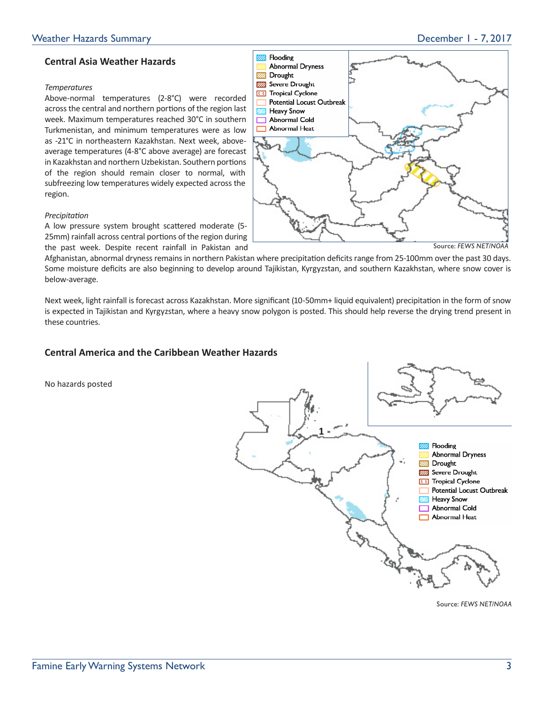## **Central Asia Weather Hazards**

### *Temperatures*

Above-normal temperatures (2-8°C) were recorded across the central and northern portions of the region last week. Maximum temperatures reached 30°C in southern Turkmenistan, and minimum temperatures were as low as -21°C in northeastern Kazakhstan. Next week, aboveaverage temperatures (4-8°C above average) are forecast in Kazakhstan and northern Uzbekistan. Southern portions of the region should remain closer to normal, with subfreezing low temperatures widely expected across the region.

# **VID** Drought **822 Severe Drought** 66 Tropical Cyclone **Potential Locust Outbreak EXIB** Heavy Snow Abnormal Cold Abnormal Heat Source: *FEWS NET/NOAA*

### *Precipitation*

A low pressure system brought scattered moderate (5- 25mm) rainfall across central portions of the region during the past week. Despite recent rainfall in Pakistan and

Afghanistan, abnormal dryness remains in northern Pakistan where precipitation deficits range from 25-100mm over the past 30 days. Some moisture deficits are also beginning to develop around Tajikistan, Kyrgyzstan, and southern Kazakhstan, where snow cover is below-average.

Flooding

**Abnormal Dryness** 

**VIII.** 

Next week, light rainfall is forecast across Kazakhstan. More significant (10-50mm+ liquid equivalent) precipitation in the form of snow is expected in Tajikistan and Kyrgyzstan, where a heavy snow polygon is posted. This should help reverse the drying trend present in these countries.

## **Central America and the Caribbean Weather Hazards**

No hazards posted



Source: *FEWS NET/NOAA*